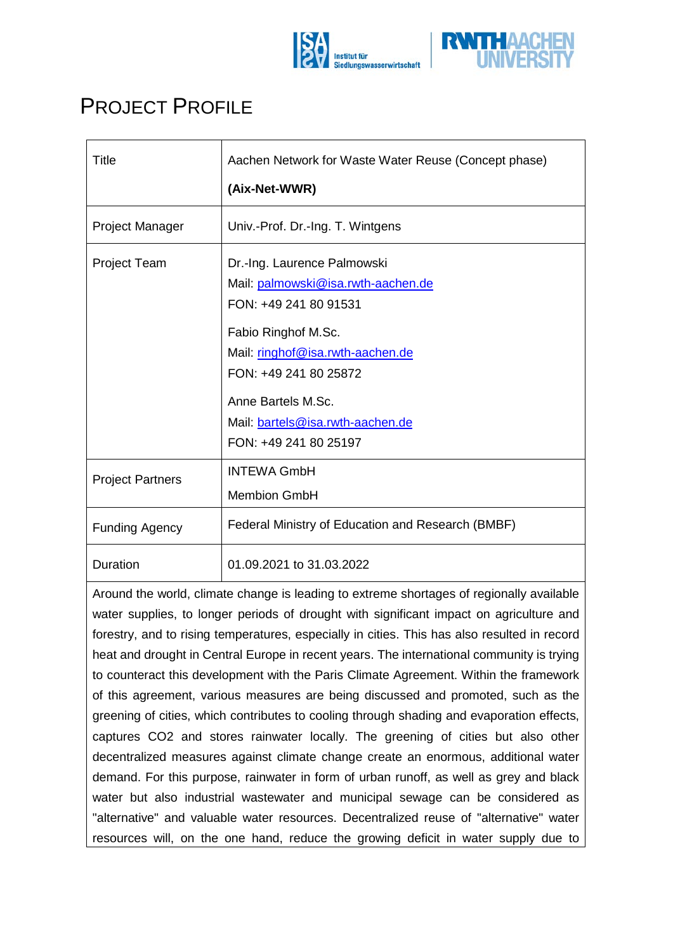



## PROJECT PROFILE

| <b>Title</b>            | Aachen Network for Waste Water Reuse (Concept phase)                                                                                                                                                                                                              |
|-------------------------|-------------------------------------------------------------------------------------------------------------------------------------------------------------------------------------------------------------------------------------------------------------------|
|                         | (Aix-Net-WWR)                                                                                                                                                                                                                                                     |
| Project Manager         | Univ.-Prof. Dr.-Ing. T. Wintgens                                                                                                                                                                                                                                  |
| Project Team            | Dr.-Ing. Laurence Palmowski<br>Mail: palmowski@isa.rwth-aachen.de<br>FON: +49 241 80 91531<br>Fabio Ringhof M.Sc.<br>Mail: ringhof@isa.rwth-aachen.de<br>FON: +49 241 80 25872<br>Anne Bartels M.Sc.<br>Mail: bartels@isa.rwth-aachen.de<br>FON: +49 241 80 25197 |
| <b>Project Partners</b> | <b>INTEWA GmbH</b><br><b>Membion GmbH</b>                                                                                                                                                                                                                         |
| <b>Funding Agency</b>   | Federal Ministry of Education and Research (BMBF)                                                                                                                                                                                                                 |
| Duration                | 01.09.2021 to 31.03.2022                                                                                                                                                                                                                                          |

Around the world, climate change is leading to extreme shortages of regionally available water supplies, to longer periods of drought with significant impact on agriculture and forestry, and to rising temperatures, especially in cities. This has also resulted in record heat and drought in Central Europe in recent years. The international community is trying to counteract this development with the Paris Climate Agreement. Within the framework of this agreement, various measures are being discussed and promoted, such as the greening of cities, which contributes to cooling through shading and evaporation effects, captures CO2 and stores rainwater locally. The greening of cities but also other decentralized measures against climate change create an enormous, additional water demand. For this purpose, rainwater in form of urban runoff, as well as grey and black water but also industrial wastewater and municipal sewage can be considered as "alternative" and valuable water resources. Decentralized reuse of "alternative" water resources will, on the one hand, reduce the growing deficit in water supply due to